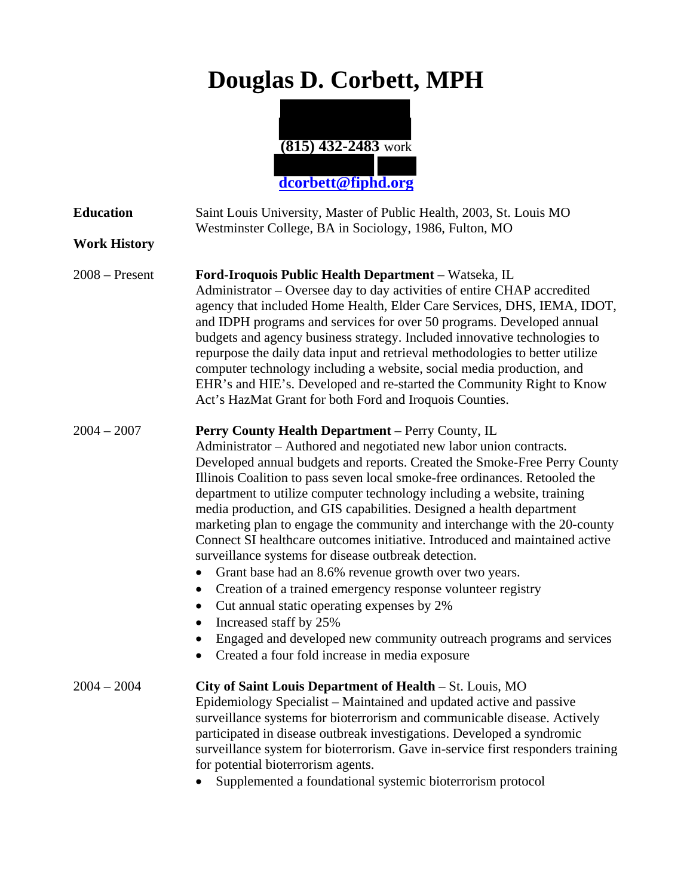## **Douglas D. Corbett, MPH**



| <b>Education</b><br><b>Work History</b> | Saint Louis University, Master of Public Health, 2003, St. Louis MO<br>Westminster College, BA in Sociology, 1986, Fulton, MO                                                                                                                                                                                                                                                                                                                                                                                                                                                                                                                                                                                                                                                                                                                                                                                                                                                                 |
|-----------------------------------------|-----------------------------------------------------------------------------------------------------------------------------------------------------------------------------------------------------------------------------------------------------------------------------------------------------------------------------------------------------------------------------------------------------------------------------------------------------------------------------------------------------------------------------------------------------------------------------------------------------------------------------------------------------------------------------------------------------------------------------------------------------------------------------------------------------------------------------------------------------------------------------------------------------------------------------------------------------------------------------------------------|
| $2008 -$ Present                        | Ford-Iroquois Public Health Department - Watseka, IL<br>Administrator - Oversee day to day activities of entire CHAP accredited<br>agency that included Home Health, Elder Care Services, DHS, IEMA, IDOT,<br>and IDPH programs and services for over 50 programs. Developed annual<br>budgets and agency business strategy. Included innovative technologies to<br>repurpose the daily data input and retrieval methodologies to better utilize<br>computer technology including a website, social media production, and<br>EHR's and HIE's. Developed and re-started the Community Right to Know<br>Act's HazMat Grant for both Ford and Iroquois Counties.                                                                                                                                                                                                                                                                                                                                 |
| $2004 - 2007$                           | <b>Perry County Health Department</b> – Perry County, IL<br>Administrator – Authored and negotiated new labor union contracts.<br>Developed annual budgets and reports. Created the Smoke-Free Perry County<br>Illinois Coalition to pass seven local smoke-free ordinances. Retooled the<br>department to utilize computer technology including a website, training<br>media production, and GIS capabilities. Designed a health department<br>marketing plan to engage the community and interchange with the 20-county<br>Connect SI healthcare outcomes initiative. Introduced and maintained active<br>surveillance systems for disease outbreak detection.<br>Grant base had an 8.6% revenue growth over two years.<br>Creation of a trained emergency response volunteer registry<br>Cut annual static operating expenses by 2%<br>٠<br>Increased staff by 25%<br>Engaged and developed new community outreach programs and services<br>Created a four fold increase in media exposure |
| $2004 - 2004$                           | City of Saint Louis Department of Health – St. Louis, MO<br>Epidemiology Specialist - Maintained and updated active and passive<br>surveillance systems for bioterrorism and communicable disease. Actively<br>participated in disease outbreak investigations. Developed a syndromic<br>surveillance system for bioterrorism. Gave in-service first responders training<br>for potential bioterrorism agents.<br>Supplemented a foundational systemic bioterrorism protocol                                                                                                                                                                                                                                                                                                                                                                                                                                                                                                                  |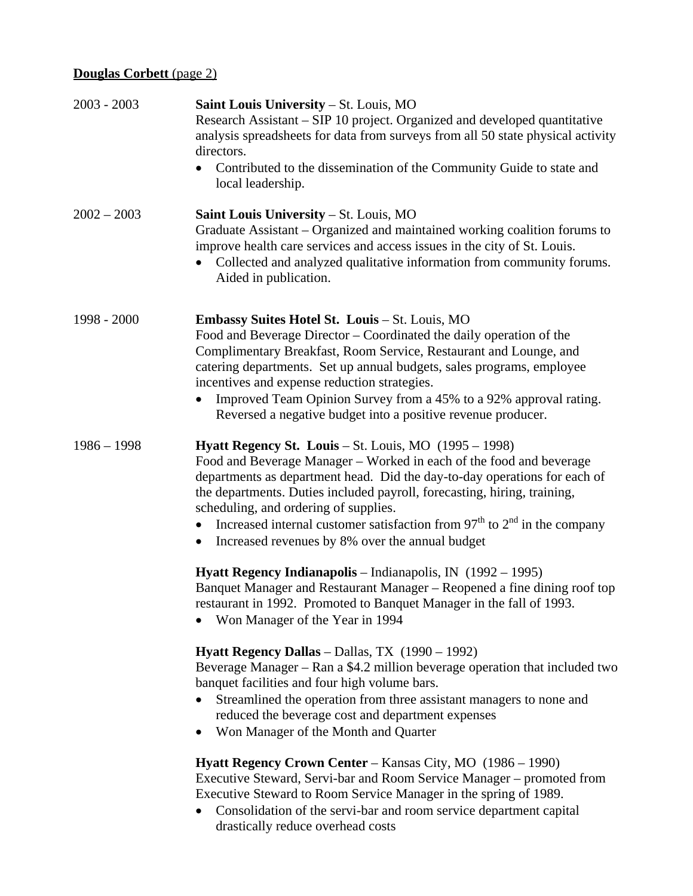## **Douglas Corbett** (page 2)

| $2003 - 2003$ | Saint Louis University - St. Louis, MO<br>Research Assistant – SIP 10 project. Organized and developed quantitative<br>analysis spreadsheets for data from surveys from all 50 state physical activity<br>directors.<br>Contributed to the dissemination of the Community Guide to state and<br>local leadership.                                                                                                                                                                       |
|---------------|-----------------------------------------------------------------------------------------------------------------------------------------------------------------------------------------------------------------------------------------------------------------------------------------------------------------------------------------------------------------------------------------------------------------------------------------------------------------------------------------|
| $2002 - 2003$ | Saint Louis University - St. Louis, MO<br>Graduate Assistant – Organized and maintained working coalition forums to<br>improve health care services and access issues in the city of St. Louis.<br>Collected and analyzed qualitative information from community forums.<br>Aided in publication.                                                                                                                                                                                       |
| 1998 - 2000   | <b>Embassy Suites Hotel St. Louis - St. Louis, MO</b><br>Food and Beverage Director – Coordinated the daily operation of the<br>Complimentary Breakfast, Room Service, Restaurant and Lounge, and<br>catering departments. Set up annual budgets, sales programs, employee<br>incentives and expense reduction strategies.<br>Improved Team Opinion Survey from a 45% to a 92% approval rating.<br>Reversed a negative budget into a positive revenue producer.                         |
| $1986 - 1998$ | <b>Hyatt Regency St. Louis – St. Louis, MO</b> $(1995 - 1998)$<br>Food and Beverage Manager – Worked in each of the food and beverage<br>departments as department head. Did the day-to-day operations for each of<br>the departments. Duties included payroll, forecasting, hiring, training,<br>scheduling, and ordering of supplies.<br>Increased internal customer satisfaction from $97th$ to $2nd$ in the company<br>Increased revenues by 8% over the annual budget<br>$\bullet$ |
|               | <b>Hyatt Regency Indianapolis</b> – Indianapolis, IN $(1992 - 1995)$<br>Banquet Manager and Restaurant Manager - Reopened a fine dining roof top<br>restaurant in 1992. Promoted to Banquet Manager in the fall of 1993.<br>Won Manager of the Year in 1994                                                                                                                                                                                                                             |
|               | Hyatt Regency Dallas - Dallas, TX (1990 - 1992)<br>Beverage Manager – Ran a \$4.2 million beverage operation that included two<br>banquet facilities and four high volume bars.<br>Streamlined the operation from three assistant managers to none and<br>reduced the beverage cost and department expenses<br>Won Manager of the Month and Quarter                                                                                                                                     |
|               | Hyatt Regency Crown Center – Kansas City, MO (1986 – 1990)<br>Executive Steward, Servi-bar and Room Service Manager – promoted from<br>Executive Steward to Room Service Manager in the spring of 1989.<br>Consolidation of the servi-bar and room service department capital<br>drastically reduce overhead costs                                                                                                                                                                      |